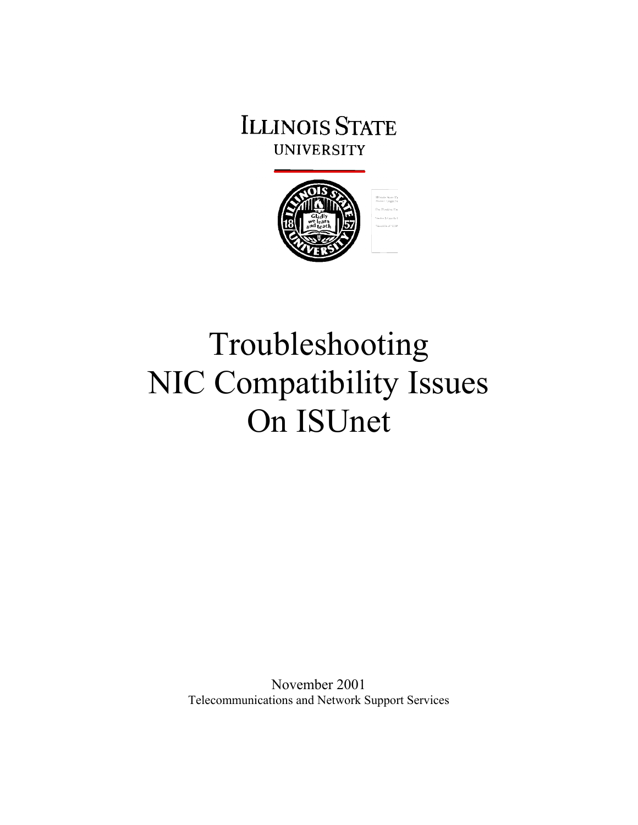# **ILLINOIS STATE UNIVERSITY**



# Troubleshooting NIC Compatibility Issues On ISUnet

November 2001 Telecommunications and Network Support Services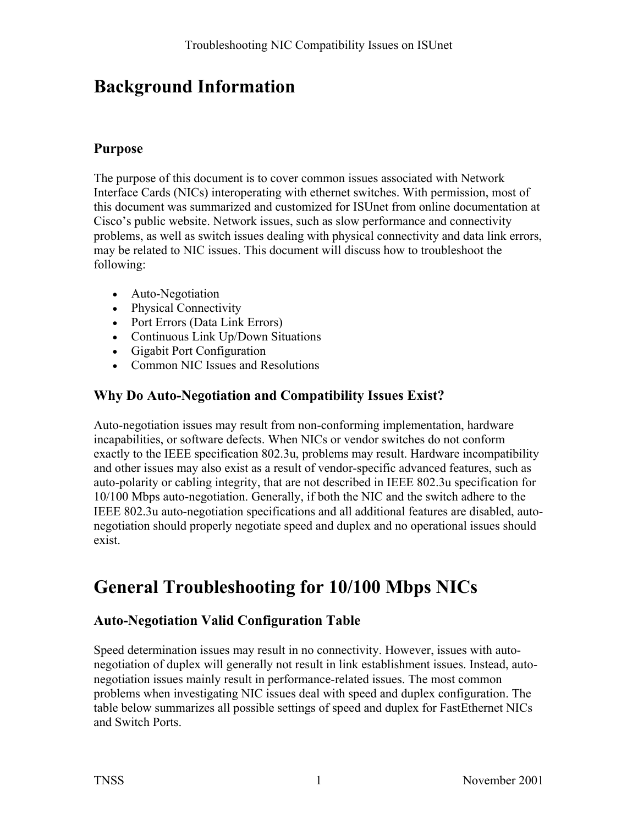# **Background Information**

#### **Purpose**

The purpose of this document is to cover common issues associated with Network Interface Cards (NICs) interoperating with ethernet switches. With permission, most of this document was summarized and customized for ISUnet from online documentation at Cisco's public website. Network issues, such as slow performance and connectivity problems, as well as switch issues dealing with physical connectivity and data link errors, may be related to NIC issues. This document will discuss how to troubleshoot the following:

- Auto-Negotiation
- Physical Connectivity
- Port Errors (Data Link Errors)
- Continuous Link Up/Down Situations
- Gigabit Port Configuration
- Common NIC Issues and Resolutions

### **Why Do Auto-Negotiation and Compatibility Issues Exist?**

Auto-negotiation issues may result from non-conforming implementation, hardware incapabilities, or software defects. When NICs or vendor switches do not conform exactly to the IEEE specification 802.3u, problems may result. Hardware incompatibility and other issues may also exist as a result of vendor-specific advanced features, such as auto-polarity or cabling integrity, that are not described in IEEE 802.3u specification for 10/100 Mbps auto-negotiation. Generally, if both the NIC and the switch adhere to the IEEE 802.3u auto-negotiation specifications and all additional features are disabled, autonegotiation should properly negotiate speed and duplex and no operational issues should exist.

# **General Troubleshooting for 10/100 Mbps NICs**

### **Auto-Negotiation Valid Configuration Table**

Speed determination issues may result in no connectivity. However, issues with autonegotiation of duplex will generally not result in link establishment issues. Instead, autonegotiation issues mainly result in performance-related issues. The most common problems when investigating NIC issues deal with speed and duplex configuration. The table below summarizes all possible settings of speed and duplex for FastEthernet NICs and Switch Ports.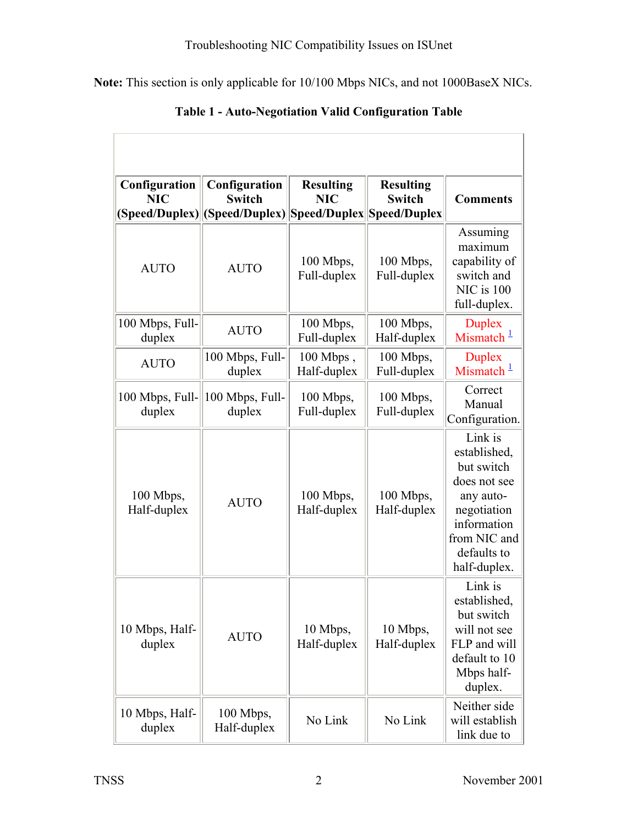**Note:** This section is only applicable for 10/100 Mbps NICs, and not 1000BaseX NICs.

| Configuration             | Configuration                                                                | <b>Resulting</b>           | <b>Resulting</b>         |                                                                                                                                                 |
|---------------------------|------------------------------------------------------------------------------|----------------------------|--------------------------|-------------------------------------------------------------------------------------------------------------------------------------------------|
| <b>NIC</b>                | <b>Switch</b><br> (Speed/Duplex)  (Speed/Duplex)  Speed/Duplex  Speed/Duplex | <b>NIC</b>                 | <b>Switch</b>            | <b>Comments</b>                                                                                                                                 |
| <b>AUTO</b>               | <b>AUTO</b>                                                                  | 100 Mbps,<br>Full-duplex   | 100 Mbps,<br>Full-duplex | Assuming<br>maximum<br>capability of<br>switch and<br>NIC is 100<br>full-duplex.                                                                |
| 100 Mbps, Full-<br>duplex | <b>AUTO</b>                                                                  | 100 Mbps,<br>Full-duplex   | 100 Mbps,<br>Half-duplex | <b>Duplex</b><br>Mismatch $1$                                                                                                                   |
| <b>AUTO</b>               | 100 Mbps, Full-<br>duplex                                                    | $100$ Mbps,<br>Half-duplex | 100 Mbps,<br>Full-duplex | <b>Duplex</b><br>Mismatch $1$                                                                                                                   |
| 100 Mbps, Full-<br>duplex | 100 Mbps, Full-<br>duplex                                                    | 100 Mbps,<br>Full-duplex   | 100 Mbps,<br>Full-duplex | Correct<br>Manual<br>Configuration.                                                                                                             |
| 100 Mbps,<br>Half-duplex  | <b>AUTO</b>                                                                  | 100 Mbps,<br>Half-duplex   | 100 Mbps,<br>Half-duplex | Link is<br>established,<br>but switch<br>does not see<br>any auto-<br>negotiation<br>information<br>from NIC and<br>defaults to<br>half-duplex. |
| 10 Mbps, Half-<br>duplex  | <b>AUTO</b>                                                                  | 10 Mbps,<br>Half-duplex    | 10 Mbps,<br>Half-duplex  | Link is<br>established,<br>but switch<br>will not see<br>FLP and will<br>default to 10<br>Mbps half-<br>duplex.                                 |
| 10 Mbps, Half-<br>duplex  | 100 Mbps,<br>Half-duplex                                                     | No Link                    | No Link                  | Neither side<br>will establish<br>link due to                                                                                                   |

**Table 1 - Auto-Negotiation Valid Configuration Table**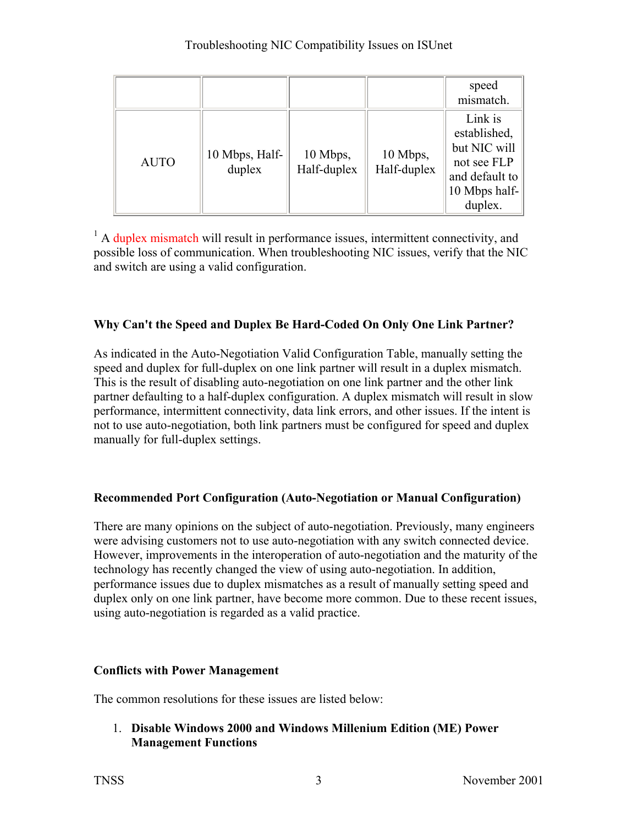|             |                          |                         |                         | speed<br>mismatch.                                                                                   |
|-------------|--------------------------|-------------------------|-------------------------|------------------------------------------------------------------------------------------------------|
| <b>AUTO</b> | 10 Mbps, Half-<br>duplex | 10 Mbps,<br>Half-duplex | 10 Mbps,<br>Half-duplex | Link is<br>established,<br>but NIC will<br>not see FLP<br>and default to<br>10 Mbps half-<br>duplex. |

<sup>1</sup> A duplex mismatch will result in performance issues, intermittent connectivity, and possible loss of communication. When troubleshooting NIC issues, verify that the NIC and switch are using a valid configuration.

#### **Why Can't the Speed and Duplex Be Hard-Coded On Only One Link Partner?**

As indicated in the Auto-Negotiation Valid Configuration Table, manually setting the speed and duplex for full-duplex on one link partner will result in a duplex mismatch. This is the result of disabling auto-negotiation on one link partner and the other link partner defaulting to a half-duplex configuration. A duplex mismatch will result in slow performance, intermittent connectivity, data link errors, and other issues. If the intent is not to use auto-negotiation, both link partners must be configured for speed and duplex manually for full-duplex settings.

#### **Recommended Port Configuration (Auto-Negotiation or Manual Configuration)**

There are many opinions on the subject of auto-negotiation. Previously, many engineers were advising customers not to use auto-negotiation with any switch connected device. However, improvements in the interoperation of auto-negotiation and the maturity of the technology has recently changed the view of using auto-negotiation. In addition, performance issues due to duplex mismatches as a result of manually setting speed and duplex only on one link partner, have become more common. Due to these recent issues, using auto-negotiation is regarded as a valid practice.

#### **Conflicts with Power Management**

The common resolutions for these issues are listed below:

1. **Disable Windows 2000 and Windows Millenium Edition (ME) Power Management Functions**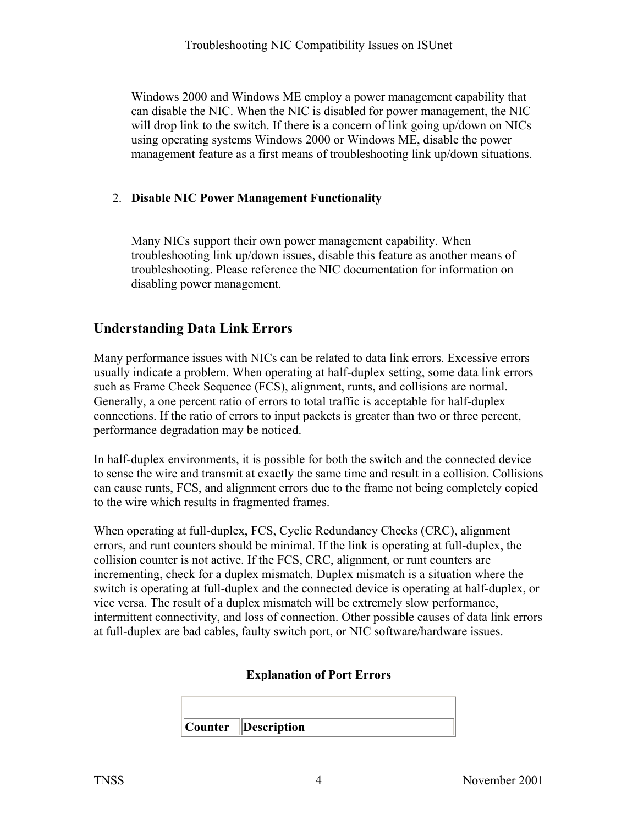Windows 2000 and Windows ME employ a power management capability that can disable the NIC. When the NIC is disabled for power management, the NIC will drop link to the switch. If there is a concern of link going up/down on NICs using operating systems Windows 2000 or Windows ME, disable the power management feature as a first means of troubleshooting link up/down situations.

#### 2. **Disable NIC Power Management Functionality**

Many NICs support their own power management capability. When troubleshooting link up/down issues, disable this feature as another means of troubleshooting. Please reference the NIC documentation for information on disabling power management.

#### **Understanding Data Link Errors**

Many performance issues with NICs can be related to data link errors. Excessive errors usually indicate a problem. When operating at half-duplex setting, some data link errors such as Frame Check Sequence (FCS), alignment, runts, and collisions are normal. Generally, a one percent ratio of errors to total traffic is acceptable for half-duplex connections. If the ratio of errors to input packets is greater than two or three percent, performance degradation may be noticed.

In half-duplex environments, it is possible for both the switch and the connected device to sense the wire and transmit at exactly the same time and result in a collision. Collisions can cause runts, FCS, and alignment errors due to the frame not being completely copied to the wire which results in fragmented frames.

When operating at full-duplex, FCS, Cyclic Redundancy Checks (CRC), alignment errors, and runt counters should be minimal. If the link is operating at full-duplex, the collision counter is not active. If the FCS, CRC, alignment, or runt counters are incrementing, check for a duplex mismatch. Duplex mismatch is a situation where the switch is operating at full-duplex and the connected device is operating at half-duplex, or vice versa. The result of a duplex mismatch will be extremely slow performance, intermittent connectivity, and loss of connection. Other possible causes of data link errors at full-duplex are bad cables, faulty switch port, or NIC software/hardware issues.

#### **Explanation of Port Errors**

| $\ $ Counter $\ $ Description |
|-------------------------------|

 $\overline{1}$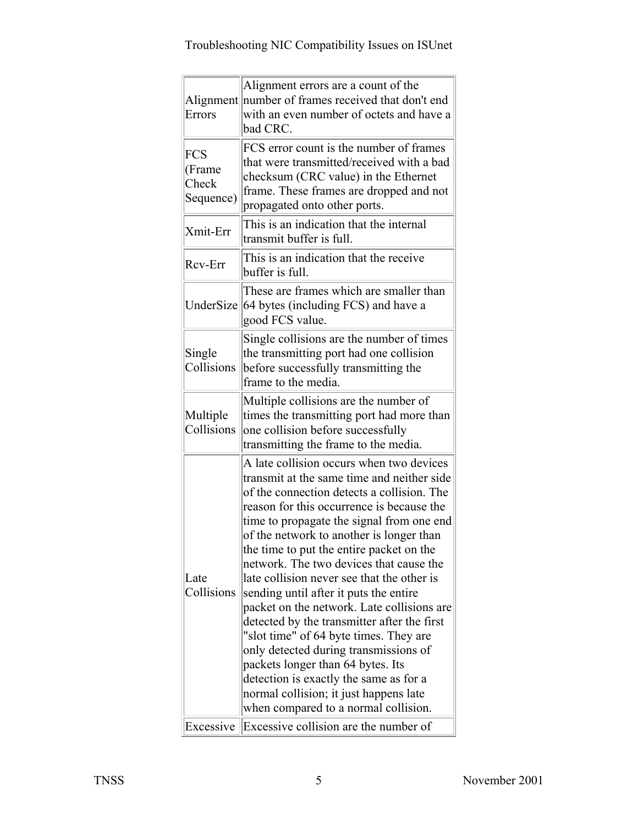| Errors                                     | Alignment errors are a count of the<br>Alignment number of frames received that don't end<br>with an even number of octets and have a<br>bad CRC.                                                                                                                                                                                                                                                                                                                                                                                                                                                                                                                                                                                                                                                          |
|--------------------------------------------|------------------------------------------------------------------------------------------------------------------------------------------------------------------------------------------------------------------------------------------------------------------------------------------------------------------------------------------------------------------------------------------------------------------------------------------------------------------------------------------------------------------------------------------------------------------------------------------------------------------------------------------------------------------------------------------------------------------------------------------------------------------------------------------------------------|
| <b>FCS</b><br>(Frame<br>Check<br>Sequence) | FCS error count is the number of frames<br>that were transmitted/received with a bad<br>checksum (CRC value) in the Ethernet<br>frame. These frames are dropped and not<br>propagated onto other ports.                                                                                                                                                                                                                                                                                                                                                                                                                                                                                                                                                                                                    |
| Xmit-Err                                   | This is an indication that the internal<br>transmit buffer is full.                                                                                                                                                                                                                                                                                                                                                                                                                                                                                                                                                                                                                                                                                                                                        |
| Rcv-Err                                    | This is an indication that the receive<br>buffer is full.                                                                                                                                                                                                                                                                                                                                                                                                                                                                                                                                                                                                                                                                                                                                                  |
| UnderSize                                  | These are frames which are smaller than<br>64 bytes (including FCS) and have a<br>good FCS value.                                                                                                                                                                                                                                                                                                                                                                                                                                                                                                                                                                                                                                                                                                          |
| Single<br>Collisions                       | Single collisions are the number of times<br>the transmitting port had one collision<br>before successfully transmitting the<br>frame to the media.                                                                                                                                                                                                                                                                                                                                                                                                                                                                                                                                                                                                                                                        |
| Multiple<br>Collisions                     | Multiple collisions are the number of<br>times the transmitting port had more than<br>one collision before successfully<br>transmitting the frame to the media.                                                                                                                                                                                                                                                                                                                                                                                                                                                                                                                                                                                                                                            |
| Late<br>Collisions                         | A late collision occurs when two devices<br>transmit at the same time and neither side<br>of the connection detects a collision. The<br>reason for this occurrence is because the<br>time to propagate the signal from one end<br>of the network to another is longer than<br>the time to put the entire packet on the<br>network. The two devices that cause the<br>late collision never see that the other is<br>sending until after it puts the entire<br>packet on the network. Late collisions are<br>detected by the transmitter after the first<br>"slot time" of 64 byte times. They are<br>only detected during transmissions of<br>packets longer than 64 bytes. Its<br>detection is exactly the same as for a<br>normal collision; it just happens late<br>when compared to a normal collision. |
| Excessive                                  | Excessive collision are the number of                                                                                                                                                                                                                                                                                                                                                                                                                                                                                                                                                                                                                                                                                                                                                                      |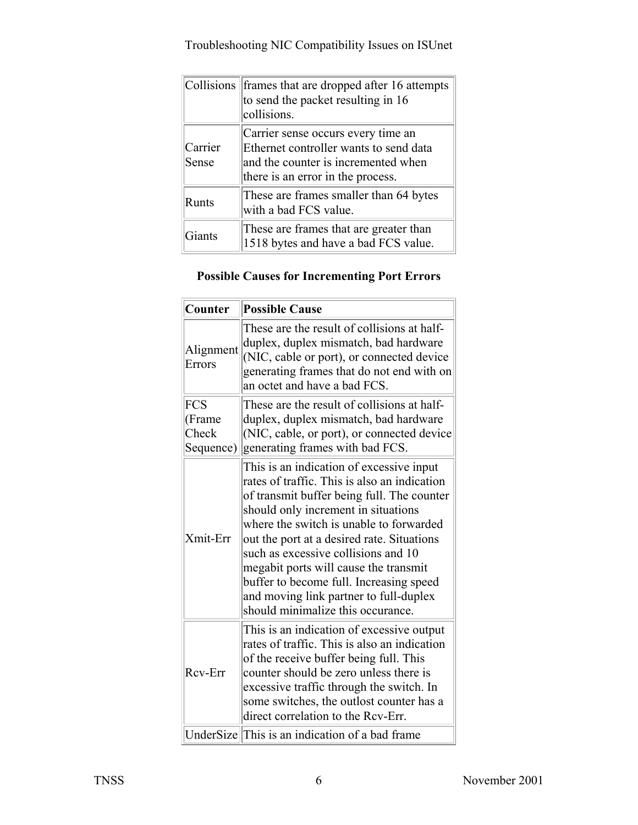|                  | Collisions frames that are dropped after 16 attempts<br>to send the packet resulting in 16<br>collisions.                                                |
|------------------|----------------------------------------------------------------------------------------------------------------------------------------------------------|
| Carrier<br>Sense | Carrier sense occurs every time an<br>Ethernet controller wants to send data<br>and the counter is incremented when<br>there is an error in the process. |
| Runts            | These are frames smaller than 64 bytes<br>with a bad FCS value.                                                                                          |
| Giants           | These are frames that are greater than<br>1518 bytes and have a bad FCS value.                                                                           |

### **Possible Causes for Incrementing Port Errors**

| Counter                             | <b>Possible Cause</b>                                                                                                                                                                                                                                                                                                                                                                                                                                                            |
|-------------------------------------|----------------------------------------------------------------------------------------------------------------------------------------------------------------------------------------------------------------------------------------------------------------------------------------------------------------------------------------------------------------------------------------------------------------------------------------------------------------------------------|
| Alignment<br>Errors                 | These are the result of collisions at half-<br>duplex, duplex mismatch, bad hardware<br>(NIC, cable or port), or connected device<br>generating frames that do not end with on<br>an octet and have a bad FCS.                                                                                                                                                                                                                                                                   |
| FCS<br>(Frame<br>Check<br>Sequence) | These are the result of collisions at half-<br>duplex, duplex mismatch, bad hardware<br>(NIC, cable, or port), or connected device<br>generating frames with bad FCS.                                                                                                                                                                                                                                                                                                            |
| Xmit-Err                            | This is an indication of excessive input<br>rates of traffic. This is also an indication<br>of transmit buffer being full. The counter<br>should only increment in situations<br>where the switch is unable to forwarded<br>out the port at a desired rate. Situations<br>such as excessive collisions and 10<br>megabit ports will cause the transmit<br>buffer to become full. Increasing speed<br>and moving link partner to full-duplex<br>should minimalize this occurance. |
| Rcv-Err                             | This is an indication of excessive output<br>rates of traffic. This is also an indication<br>of the receive buffer being full. This<br>counter should be zero unless there is<br>excessive traffic through the switch. In<br>some switches, the outlost counter has a<br>direct correlation to the Rcv-Err.                                                                                                                                                                      |
|                                     | UnderSize This is an indication of a bad frame                                                                                                                                                                                                                                                                                                                                                                                                                                   |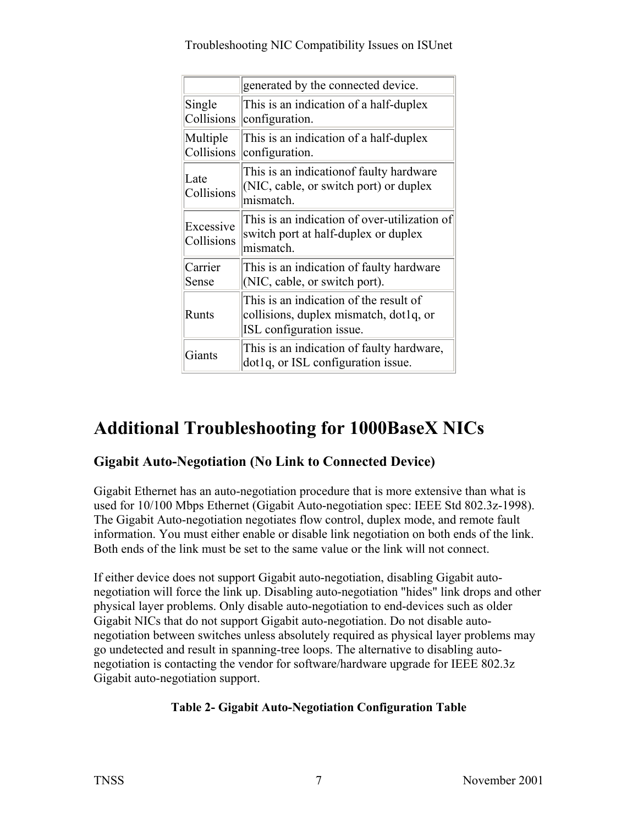|                         | generated by the connected device.                                                                           |
|-------------------------|--------------------------------------------------------------------------------------------------------------|
| Single<br>Collisions    | This is an indication of a half-duplex<br>configuration.                                                     |
| Multiple<br>Collisions  | This is an indication of a half-duplex<br>configuration.                                                     |
| Late<br>Collisions      | This is an indication of faulty hardware<br>$\vert$ (NIC, cable, or switch port) or duplex<br>mismatch.      |
| Excessive<br>Collisions | This is an indication of over-utilization of<br>switch port at half-duplex or duplex<br>mismatch.            |
| Carrier<br>Sense        | This is an indication of faulty hardware<br>(NIC, cable, or switch port).                                    |
| <b>Runts</b>            | This is an indication of the result of<br>collisions, duplex mismatch, dot1q, or<br>ISL configuration issue. |
| Giants                  | This is an indication of faulty hardware,<br>dot1q, or ISL configuration issue.                              |

# **Additional Troubleshooting for 1000BaseX NICs**

### **Gigabit Auto-Negotiation (No Link to Connected Device)**

Gigabit Ethernet has an auto-negotiation procedure that is more extensive than what is used for 10/100 Mbps Ethernet (Gigabit Auto-negotiation spec: IEEE Std 802.3z-1998). The Gigabit Auto-negotiation negotiates flow control, duplex mode, and remote fault information. You must either enable or disable link negotiation on both ends of the link. Both ends of the link must be set to the same value or the link will not connect.

If either device does not support Gigabit auto-negotiation, disabling Gigabit autonegotiation will force the link up. Disabling auto-negotiation "hides" link drops and other physical layer problems. Only disable auto-negotiation to end-devices such as older Gigabit NICs that do not support Gigabit auto-negotiation. Do not disable autonegotiation between switches unless absolutely required as physical layer problems may go undetected and result in spanning-tree loops. The alternative to disabling autonegotiation is contacting the vendor for software/hardware upgrade for IEEE 802.3z Gigabit auto-negotiation support.

#### **Table 2- Gigabit Auto-Negotiation Configuration Table**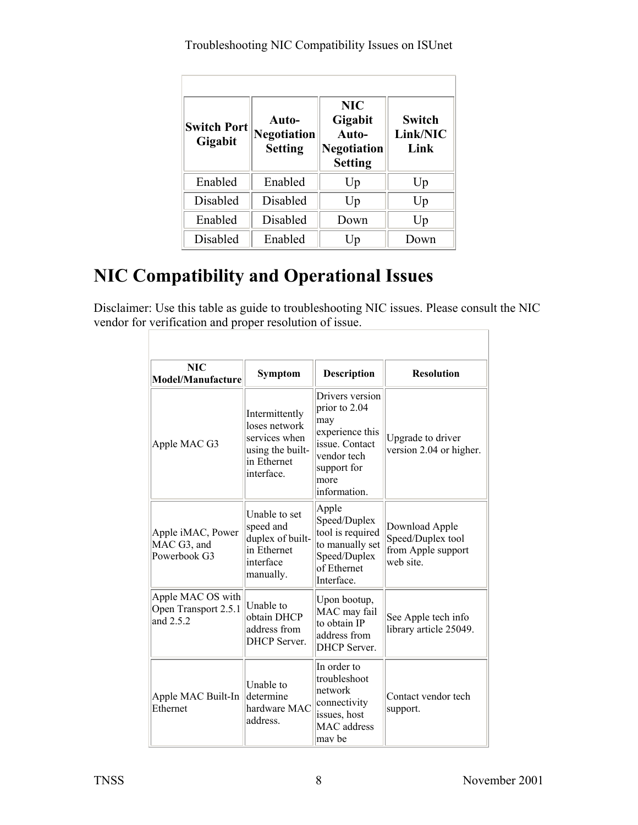| <b>Switch Port</b><br>Gigabit | Auto-<br><b>Negotiation</b><br><b>Setting</b> | <b>NIC</b><br>Gigabit<br>Auto-<br><b>Negotiation</b><br><b>Setting</b> | <b>Switch</b><br>Link/NIC<br>Link |
|-------------------------------|-----------------------------------------------|------------------------------------------------------------------------|-----------------------------------|
| Enabled                       | Enabled                                       | Up                                                                     | Up                                |
| Disabled                      | Disabled                                      | Up                                                                     | Up                                |
| Enabled                       | Disabled                                      | Down                                                                   | Up                                |
| Disabled                      | Enabled                                       | Up                                                                     | Down                              |

# **NIC Compatibility and Operational Issues**

Disclaimer: Use this table as guide to troubleshooting NIC issues. Please consult the NIC vendor for verification and proper resolution of issue.

| <b>NIC</b><br><b>Model/Manufacture</b>                   | Symptom                                                                                           | Description                                                                                                                         | <b>Resolution</b>                                                      |
|----------------------------------------------------------|---------------------------------------------------------------------------------------------------|-------------------------------------------------------------------------------------------------------------------------------------|------------------------------------------------------------------------|
| Apple MAC G3                                             | Intermittently<br>loses network<br>services when<br>using the built-<br>in Ethernet<br>interface. | Drivers version<br>prior to 2.04<br>may<br>experience this<br>issue. Contact<br>vendor tech<br>support for<br> more<br>information. | Upgrade to driver<br>version 2.04 or higher.                           |
| Apple iMAC, Power<br>MAC G3, and<br>Powerbook G3         | Unable to set<br>speed and<br>duplex of built-<br>in Ethernet<br>interface<br>manually.           | Apple<br>Speed/Duplex<br>tool is required<br>to manually set<br>Speed/Duplex<br>of Ethernet<br>Interface.                           | Download Apple<br>Speed/Duplex tool<br>from Apple support<br>web site. |
| Apple MAC OS with<br>Open Transport 2.5.1<br>and $2.5.2$ | Unable to<br>obtain DHCP<br>address from<br><b>DHCP</b> Server.                                   | Upon bootup,<br>MAC may fail<br>to obtain IP<br>address from<br><b>DHCP</b> Server.                                                 | See Apple tech info<br>library article 25049.                          |
| Apple MAC Built-In<br>Ethernet                           | Unable to<br>determine<br>hardware MAC<br>address.                                                | In order to<br>troubleshoot<br>network<br>connectivity<br>issues, host<br><b>MAC</b> address<br>lmav be                             | Contact vendor tech<br>support.                                        |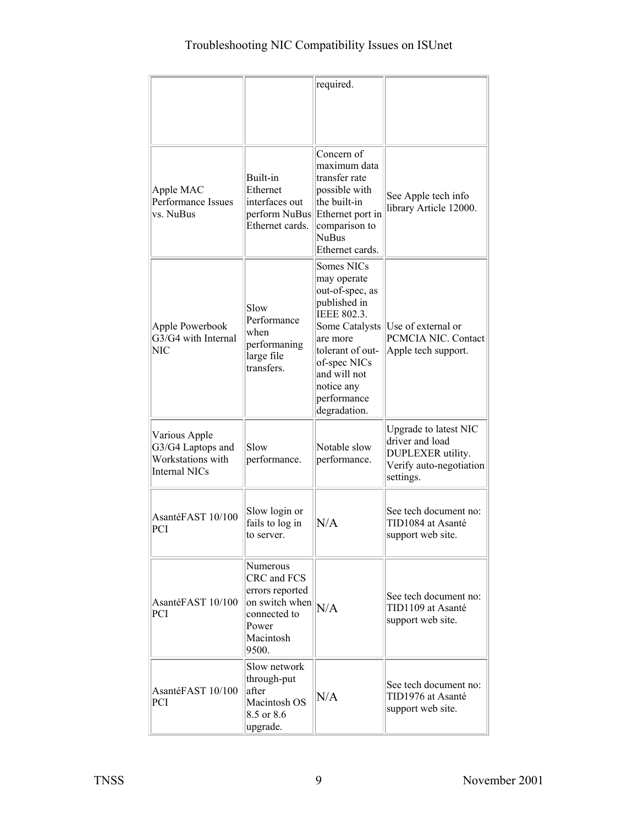|                                                                          |                                                                                                             | required.                                                                                                                                                                                                  |                                                                                                       |
|--------------------------------------------------------------------------|-------------------------------------------------------------------------------------------------------------|------------------------------------------------------------------------------------------------------------------------------------------------------------------------------------------------------------|-------------------------------------------------------------------------------------------------------|
|                                                                          |                                                                                                             |                                                                                                                                                                                                            |                                                                                                       |
| Apple MAC<br>Performance Issues<br>vs. NuBus                             | Built-in<br>Ethernet<br>interfaces out<br>perform NuBus<br>Ethernet cards.                                  | Concern of<br>maximum data<br>transfer rate<br>possible with<br>the built-in<br>Ethernet port in<br>comparison to<br><b>NuBus</b><br>Ethernet cards.                                                       | See Apple tech info<br>library Article 12000.                                                         |
| Apple Powerbook<br>G3/G4 with Internal<br><b>NIC</b>                     | Slow<br>Performance<br>when<br>performaning<br>large file<br>transfers.                                     | Somes NICs<br>may operate<br>out-of-spec, as<br>published in<br>IEEE 802.3.<br>Some Catalysts<br>are more<br>tolerant of out-<br>of-spec NICs<br>and will not<br>notice any<br>performance<br>degradation. | Use of external or<br>PCMCIA NIC. Contact<br>Apple tech support.                                      |
| Various Apple<br>G3/G4 Laptops and<br>Workstations with<br>Internal NICs | Slow<br>performance.                                                                                        | Notable slow<br>performance.                                                                                                                                                                               | Upgrade to latest NIC<br>driver and load<br>DUPLEXER utility.<br>Verify auto-negotiation<br>settings. |
| AsantéFAST 10/100<br>PCI                                                 | Slow login or<br>fails to log in<br>to server.                                                              | N/A                                                                                                                                                                                                        | See tech document no:<br>TID1084 at Asanté<br>support web site.                                       |
| AsantéFAST 10/100<br><b>PCI</b>                                          | Numerous<br>CRC and FCS<br>errors reported<br>on switch when<br>connected to<br>Power<br>Macintosh<br>9500. | N/A                                                                                                                                                                                                        | See tech document no:<br>TID1109 at Asanté<br>support web site.                                       |
| AsantéFAST 10/100<br>PCI                                                 | Slow network<br>through-put<br>lafter<br>Macintosh OS<br>8.5 or 8.6<br>upgrade.                             | N/A                                                                                                                                                                                                        | See tech document no:<br>TID1976 at Asanté<br>support web site.                                       |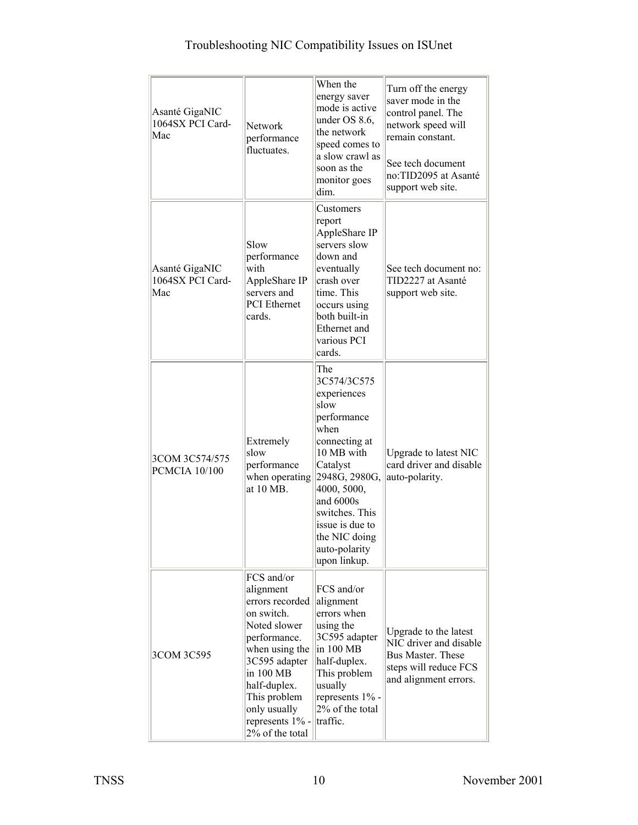| Asanté GigaNIC<br>1064SX PCI Card-<br>Mac | Network<br>performance<br>fluctuates                                                                                                                                                                                           | When the<br>energy saver<br>mode is active<br>under OS 8.6,<br>the network<br>speed comes to<br>a slow crawl as<br>soon as the<br>monitor goes<br>dim.                                                                                          | Turn off the energy<br>saver mode in the<br>control panel. The<br>network speed will<br>remain constant.<br>See tech document<br>no:TID2095 at Asanté<br>support web site. |
|-------------------------------------------|--------------------------------------------------------------------------------------------------------------------------------------------------------------------------------------------------------------------------------|-------------------------------------------------------------------------------------------------------------------------------------------------------------------------------------------------------------------------------------------------|----------------------------------------------------------------------------------------------------------------------------------------------------------------------------|
| Asanté GigaNIC<br>1064SX PCI Card-<br>Mac | Slow<br>performance<br>with<br>AppleShare IP<br>servers and<br><b>PCI</b> Ethernet<br>cards.                                                                                                                                   | Customers<br>report<br>AppleShare IP<br>servers slow<br>down and<br>eventually<br>crash over<br>time. This<br>occurs using<br>both built-in<br>Ethernet and<br>various PCI<br>cards.                                                            | See tech document no:<br>TID2227 at Asanté<br>support web site.                                                                                                            |
| 3COM 3C574/575<br><b>PCMCIA 10/100</b>    | Extremely<br>slow<br>performance<br>when operating<br>at 10 MB.                                                                                                                                                                | The<br>3C574/3C575<br>experiences<br>slow<br>performance<br>when<br>connecting at<br>10 MB with<br>Catalyst<br>2948G, 2980G,<br>4000, 5000,<br>and 6000s<br>switches. This<br>issue is due to<br>the NIC doing<br>auto-polarity<br>upon linkup. | Upgrade to latest NIC<br>card driver and disable<br>auto-polarity.                                                                                                         |
| 3COM 3C595                                | FCS and/or<br>alignment<br>errors recorded<br>on switch.<br>Noted slower<br>performance.<br>when using the<br>3C595 adapter<br>in 100 MB<br>half-duplex.<br>This problem<br>only usually<br>represents 1% -<br>2% of the total | FCS and/or<br>alignment<br>errors when<br>using the<br>3C595 adapter<br>in 100 MB<br>half-duplex.<br>This problem<br>usually<br>represents 1% -<br>2% of the total<br>traffic.                                                                  | Upgrade to the latest<br>NIC driver and disable<br>Bus Master. These<br>steps will reduce FCS<br>and alignment errors.                                                     |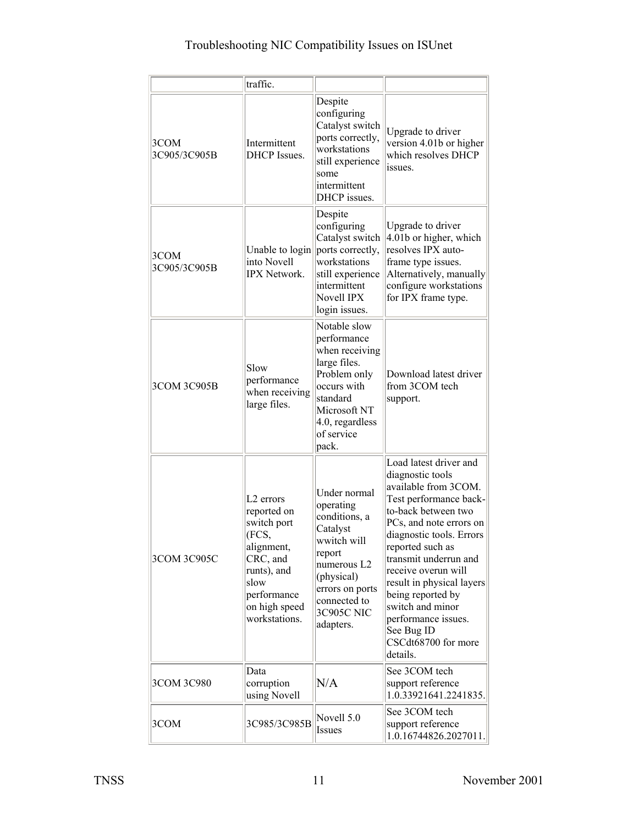|                      | traffic.                                                                                                                                             |                                                                                                                                                                            |                                                                                                                                                                                                                                                                                                                                                                                              |
|----------------------|------------------------------------------------------------------------------------------------------------------------------------------------------|----------------------------------------------------------------------------------------------------------------------------------------------------------------------------|----------------------------------------------------------------------------------------------------------------------------------------------------------------------------------------------------------------------------------------------------------------------------------------------------------------------------------------------------------------------------------------------|
| 3COM<br>3C905/3C905B | Intermittent<br><b>DHCP</b> Issues.                                                                                                                  | Despite<br>configuring<br>Catalyst switch<br>ports correctly,<br>workstations<br>still experience<br>some<br>intermittent<br>DHCP issues.                                  | Upgrade to driver<br>version 4.01b or higher<br>which resolves DHCP<br>issues.                                                                                                                                                                                                                                                                                                               |
| 3COM<br>3C905/3C905B | Unable to login<br>into Novell<br><b>IPX Network.</b>                                                                                                | Despite<br>configuring<br>Catalyst switch<br>ports correctly,<br>workstations<br>still experience<br>intermittent<br>Novell IPX<br>login issues.                           | Upgrade to driver<br>$4.01b$ or higher, which<br>resolves IPX auto-<br>frame type issues.<br>Alternatively, manually<br>configure workstations<br>for IPX frame type.                                                                                                                                                                                                                        |
| 3COM 3C905B          | Slow<br>performance<br>when receiving<br>large files.                                                                                                | Notable slow<br>performance<br>when receiving<br>large files.<br>Problem only<br>occurs with<br>standard<br>Microsoft NT<br>4.0, regardless<br>of service<br>pack.         | Download latest driver<br>from 3COM tech<br>support.                                                                                                                                                                                                                                                                                                                                         |
| 3COM 3C905C          | $L2$ errors<br>reported on<br>switch port<br>(FCS,<br>alignment,<br>CRC, and<br>runts), and<br>slow<br>performance<br>on high speed<br>workstations. | Under normal<br>operating<br>conditions, a<br>Catalyst<br>wwitch will<br>report<br>numerous L2<br>(physical)<br>errors on ports<br>connected to<br>3C905C NIC<br>adapters. | Load latest driver and<br>diagnostic tools<br>available from 3COM.<br>Test performance back-<br>to-back between two<br>PCs, and note errors on<br>diagnostic tools. Errors<br>reported such as<br>transmit underrun and<br>receive overun will<br>result in physical layers<br>being reported by<br>switch and minor<br>performance issues.<br>See Bug ID<br>CSCdt68700 for more<br>details. |
| 3COM 3C980           | Data<br>corruption<br>using Novell                                                                                                                   | N/A                                                                                                                                                                        | See 3COM tech<br>support reference<br>1.0.33921641.2241835.                                                                                                                                                                                                                                                                                                                                  |
| 3COM                 | 3C985/3C985B                                                                                                                                         | Novell 5.0<br>Issues                                                                                                                                                       | See 3COM tech<br>support reference<br>1.0.16744826.2027011.                                                                                                                                                                                                                                                                                                                                  |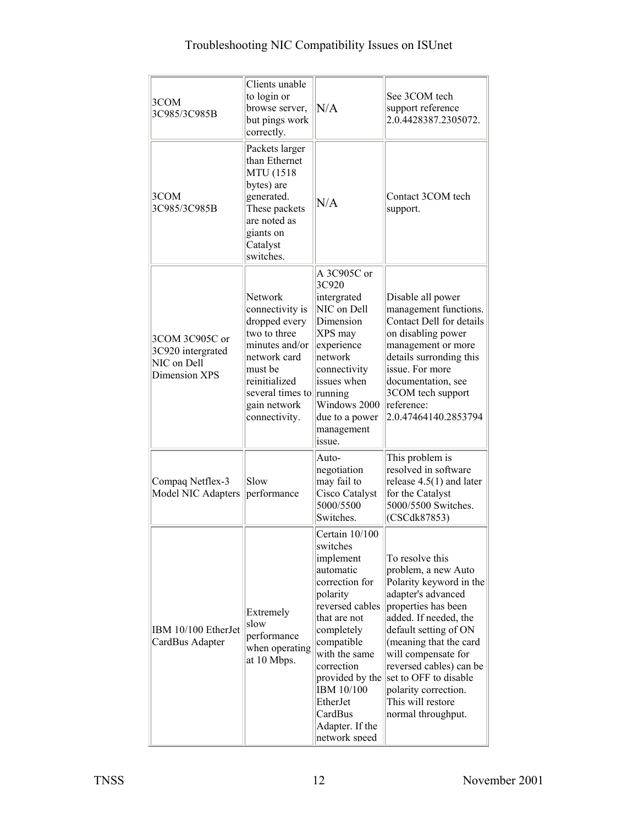| 3COM<br>3C985/3C985B                                                | Clients unable<br>to login or<br>browse server,<br>but pings work<br>correctly.                                                                                                | N/A                                                                                                                                                                                                                                                       | See 3COM tech<br>support reference<br>2.0.4428387.2305072.                                                                                                                                                                                                                                                                                               |
|---------------------------------------------------------------------|--------------------------------------------------------------------------------------------------------------------------------------------------------------------------------|-----------------------------------------------------------------------------------------------------------------------------------------------------------------------------------------------------------------------------------------------------------|----------------------------------------------------------------------------------------------------------------------------------------------------------------------------------------------------------------------------------------------------------------------------------------------------------------------------------------------------------|
| 3COM<br>3C985/3C985B                                                | Packets larger<br>than Ethernet<br><b>MTU</b> (1518<br>bytes) are<br>generated.<br>These packets<br>are noted as<br>giants on<br>Catalyst<br>switches.                         | N/A                                                                                                                                                                                                                                                       | Contact 3COM tech<br>support.                                                                                                                                                                                                                                                                                                                            |
| 3COM 3C905C or<br>3C920 intergrated<br>NIC on Dell<br>Dimension XPS | Network<br>connectivity is<br>dropped every<br>two to three<br>minutes and/or<br>network card<br>must be<br>reinitialized<br>several times to<br>gain network<br>connectivity. | A 3C905C or<br>3C920<br>intergrated<br>NIC on Dell<br>Dimension<br>XPS may<br>experience<br>network<br>connectivity<br>issues when<br>running<br>Windows 2000<br>due to a power<br>management<br>issue.                                                   | Disable all power<br>management functions.<br>Contact Dell for details<br>on disabling power<br>management or more<br>details surronding this<br>issue. For more<br>documentation, see<br>3COM tech support<br>reference:<br>2.0.47464140.2853794                                                                                                        |
| Compaq Netflex-3<br>Model NIC Adapters                              | Slow<br>performance                                                                                                                                                            | Auto-<br>negotiation<br>may fail to<br>Cisco Catalyst<br>5000/5500<br>Switches.                                                                                                                                                                           | This problem is<br>resolved in software<br>release $4.5(1)$ and later<br>for the Catalyst<br>5000/5500 Switches.<br>(CSCdk87853)                                                                                                                                                                                                                         |
| IBM 10/100 EtherJet<br>CardBus Adapter                              | Extremely<br>slow<br>performance<br>when operating<br>at 10 Mbps.                                                                                                              | Certain 10/100<br>switches<br>implement<br>automatic<br>correction for<br>polarity<br>reversed cables<br>that are not<br>completely<br>compatible<br>with the same<br>correction<br>IBM 10/100<br>EtherJet<br>CardBus<br>Adapter. If the<br>network speed | To resolve this<br>problem, a new Auto<br>Polarity keyword in the<br>adapter's advanced<br>properties has been<br>added. If needed, the<br>default setting of ON<br>(meaning that the card<br>will compensate for<br>reversed cables) can be<br>provided by the set to OFF to disable<br>polarity correction.<br>This will restore<br>normal throughput. |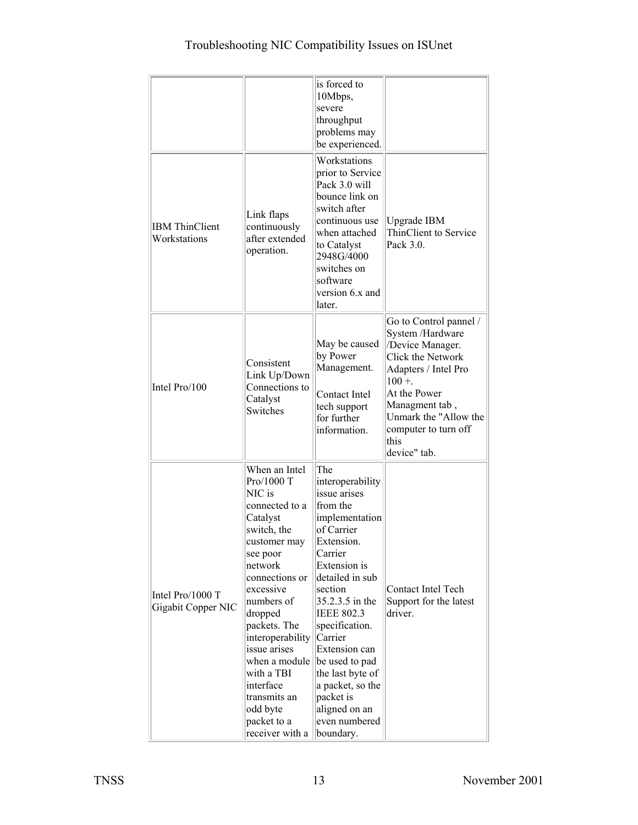|                                        |                                                                                                                                                                                                                                                                                                                                                 | is forced to<br>10Mbps,<br>severe<br>throughput<br>problems may<br>be experienced.                                                                                                                                                                                                                                                                                     |                                                                                                                                                                                                                                   |
|----------------------------------------|-------------------------------------------------------------------------------------------------------------------------------------------------------------------------------------------------------------------------------------------------------------------------------------------------------------------------------------------------|------------------------------------------------------------------------------------------------------------------------------------------------------------------------------------------------------------------------------------------------------------------------------------------------------------------------------------------------------------------------|-----------------------------------------------------------------------------------------------------------------------------------------------------------------------------------------------------------------------------------|
| <b>IBM</b> ThinClient<br>Workstations  | Link flaps<br>continuously<br>after extended<br>operation.                                                                                                                                                                                                                                                                                      | Workstations<br>prior to Service<br>Pack 3.0 will<br>bounce link on<br>switch after<br>continuous use<br>when attached<br>to Catalyst<br>2948G/4000<br>switches on<br>software<br>version 6.x and<br>later.                                                                                                                                                            | <b>Upgrade IBM</b><br>ThinClient to Service<br>Pack 3.0.                                                                                                                                                                          |
| Intel Pro/100                          | Consistent<br>Link Up/Down<br>Connections to<br>Catalyst<br>Switches                                                                                                                                                                                                                                                                            | May be caused<br>by Power<br>Management.<br>Contact Intel<br>tech support<br>for further<br>information.                                                                                                                                                                                                                                                               | Go to Control pannel /<br>System /Hardware<br>/Device Manager.<br>Click the Network<br>Adapters / Intel Pro<br>$100 +$<br>At the Power<br>Managment tab,<br>Unmark the "Allow the<br>computer to turn off<br>this<br>device" tab. |
| Intel Pro/1000 T<br>Gigabit Copper NIC | When an Intel<br>Pro/1000 T<br>NIC is<br>connected to a<br>Catalyst<br>switch, the<br>customer may<br>see poor<br>network<br>connections or<br>excessive<br>numbers of<br>dropped<br>packets. The<br>interoperability<br>issue arises<br>when a module<br>with a TBI<br>interface<br>transmits an<br>odd byte<br>packet to a<br>receiver with a | The<br>interoperability<br>issue arises<br>from the<br>implementation<br>of Carrier<br>Extension.<br>Carrier<br>Extension is<br>detailed in sub<br>section<br>35.2.3.5 in the<br><b>IEEE 802.3</b><br>specification.<br>Carrier<br>Extension can<br>be used to pad<br>the last byte of<br>a packet, so the<br>packet is<br>aligned on an<br>even numbered<br>boundary. | Contact Intel Tech<br>Support for the latest<br>driver.                                                                                                                                                                           |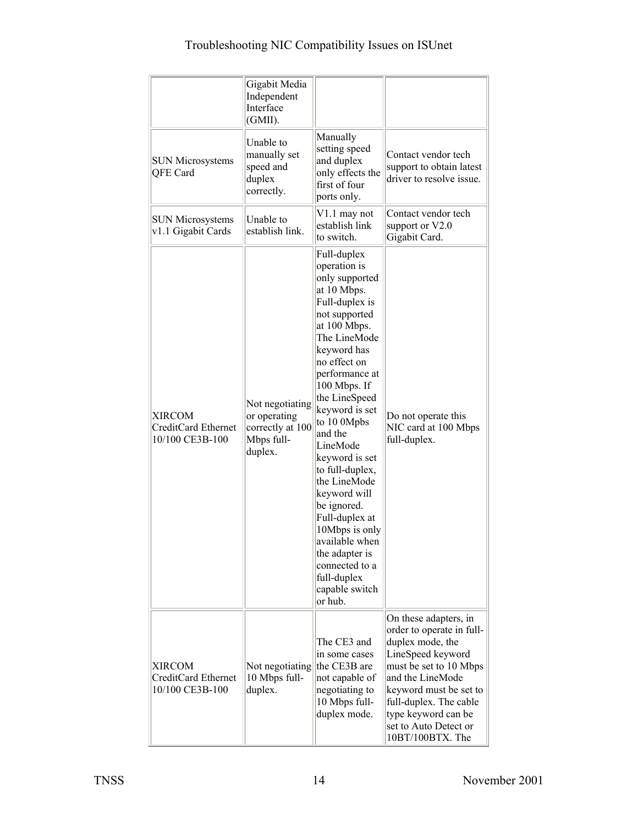|                                                                | Gigabit Media<br>Independent<br>Interface<br>(GMII).                         |                                                                                                                                                                                                                                                                                                                                                                                                                                                                                                     |                                                                                                                                                                                                                                                                   |
|----------------------------------------------------------------|------------------------------------------------------------------------------|-----------------------------------------------------------------------------------------------------------------------------------------------------------------------------------------------------------------------------------------------------------------------------------------------------------------------------------------------------------------------------------------------------------------------------------------------------------------------------------------------------|-------------------------------------------------------------------------------------------------------------------------------------------------------------------------------------------------------------------------------------------------------------------|
| <b>SUN Microsystems</b><br>QFE Card                            | Unable to<br>manually set<br>speed and<br>duplex<br>correctly.               | Manually<br>setting speed<br>and duplex<br>only effects the<br>first of four<br>ports only.                                                                                                                                                                                                                                                                                                                                                                                                         | Contact vendor tech<br>support to obtain latest<br>driver to resolve issue.                                                                                                                                                                                       |
| <b>SUN Microsystems</b><br>v1.1 Gigabit Cards                  | Unable to<br>establish link.                                                 | V1.1 may not<br>establish link<br>to switch.                                                                                                                                                                                                                                                                                                                                                                                                                                                        | Contact vendor tech<br>support or V2.0<br>Gigabit Card.                                                                                                                                                                                                           |
| <b>XIRCOM</b><br>CreditCard Ethernet<br>10/100 CE3B-100        | Not negotiating<br>or operating<br>correctly at 100<br>Mbps full-<br>duplex. | Full-duplex<br>operation is<br>only supported<br>at 10 Mbps.<br>Full-duplex is<br>not supported<br>at 100 Mbps.<br>The LineMode<br>keyword has<br>no effect on<br>performance at<br>100 Mbps. If<br>the LineSpeed<br>keyword is set<br>to 10 0Mpbs<br>and the<br>LineMode<br>keyword is set<br>to full-duplex,<br>the LineMode<br>keyword will<br>be ignored.<br>Full-duplex at<br>10Mbps is only<br>available when<br>the adapter is<br>connected to a<br>full-duplex<br>capable switch<br>or hub. | Do not operate this<br>NIC card at 100 Mbps<br>full-duplex.                                                                                                                                                                                                       |
| <b>XIRCOM</b><br><b>CreditCard Ethernet</b><br>10/100 CE3B-100 | Not negotiating<br>10 Mbps full-<br>duplex.                                  | The CE3 and<br>in some cases<br>the CE3B are<br>not capable of<br>negotiating to<br>10 Mbps full-<br>duplex mode.                                                                                                                                                                                                                                                                                                                                                                                   | On these adapters, in<br>order to operate in full-<br>duplex mode, the<br>LineSpeed keyword<br>must be set to 10 Mbps<br>and the LineMode<br>keyword must be set to<br>full-duplex. The cable<br>type keyword can be<br>set to Auto Detect or<br>10BT/100BTX. The |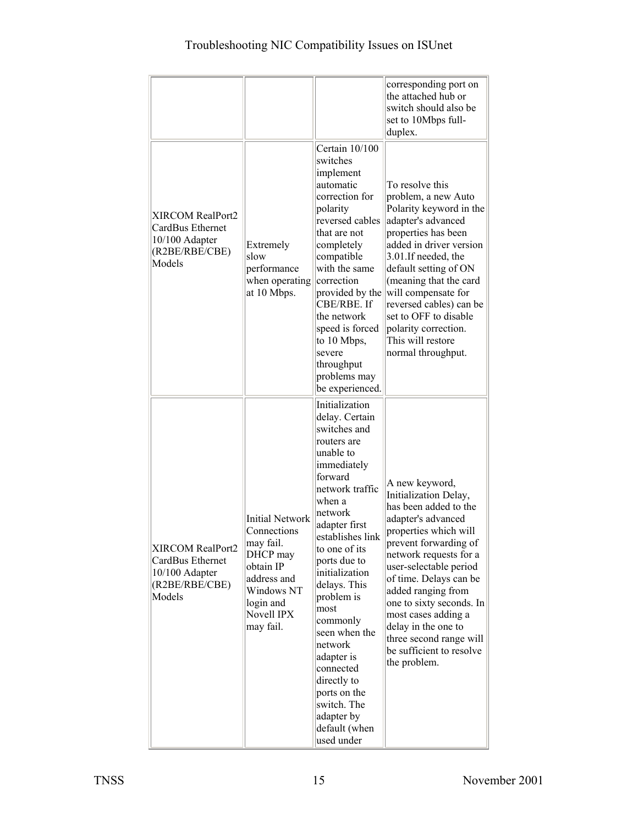|                                                                                    |                                                                                                                                                  |                                                                                                                                                                                                                                                                                                                                                                                                                                            | corresponding port on<br>the attached hub or<br>switch should also be<br>set to 10Mbps full-<br>duplex.                                                                                                                                                                                                                                                                                       |
|------------------------------------------------------------------------------------|--------------------------------------------------------------------------------------------------------------------------------------------------|--------------------------------------------------------------------------------------------------------------------------------------------------------------------------------------------------------------------------------------------------------------------------------------------------------------------------------------------------------------------------------------------------------------------------------------------|-----------------------------------------------------------------------------------------------------------------------------------------------------------------------------------------------------------------------------------------------------------------------------------------------------------------------------------------------------------------------------------------------|
| XIRCOM RealPort2<br>CardBus Ethernet<br>10/100 Adapter<br>(R2BE/RBE/CBE)<br>Models | Extremely<br>slow<br>performance<br>when operating<br>at 10 Mbps.                                                                                | Certain 10/100<br>switches<br>implement<br>automatic<br>correction for<br>polarity<br>reversed cables<br>that are not<br>completely<br>compatible<br>with the same<br>correction<br>provided by the<br>CBE/RBE. If<br>the network<br>speed is forced<br>to 10 Mbps,<br>severe<br>throughput<br>problems may<br>be experienced.                                                                                                             | To resolve this<br>problem, a new Auto<br>Polarity keyword in the<br>adapter's advanced<br>properties has been<br>added in driver version<br>3.01.If needed, the<br>default setting of ON<br>(meaning that the card<br>will compensate for<br>reversed cables) can be<br>set to OFF to disable<br>polarity correction.<br>This will restore<br>normal throughput.                             |
| XIRCOM RealPort2<br>CardBus Ethernet<br>10/100 Adapter<br>(R2BE/RBE/CBE)<br>Models | <b>Initial Network</b><br>Connections<br>may fail.<br>DHCP may<br>obtain IP<br>address and<br>Windows NT<br>login and<br>Novell IPX<br>may fail. | Initialization<br>delay. Certain<br>switches and<br>routers are<br>unable to<br>immediately<br>forward<br>network traffic<br>when a<br>network<br>adapter first<br>establishes link<br>to one of its<br>ports due to<br>initialization<br>delays. This<br>problem is<br>most<br>commonly<br>seen when the<br>network<br>adapter is<br>connected<br>directly to<br>ports on the<br>switch. The<br>adapter by<br>default (when<br>used under | A new keyword,<br>Initialization Delay,<br>has been added to the<br>adapter's advanced<br>properties which will<br>prevent forwarding of<br>network requests for a<br>user-selectable period<br>of time. Delays can be<br>added ranging from<br>one to sixty seconds. In<br>most cases adding a<br>delay in the one to<br>three second range will<br>be sufficient to resolve<br>the problem. |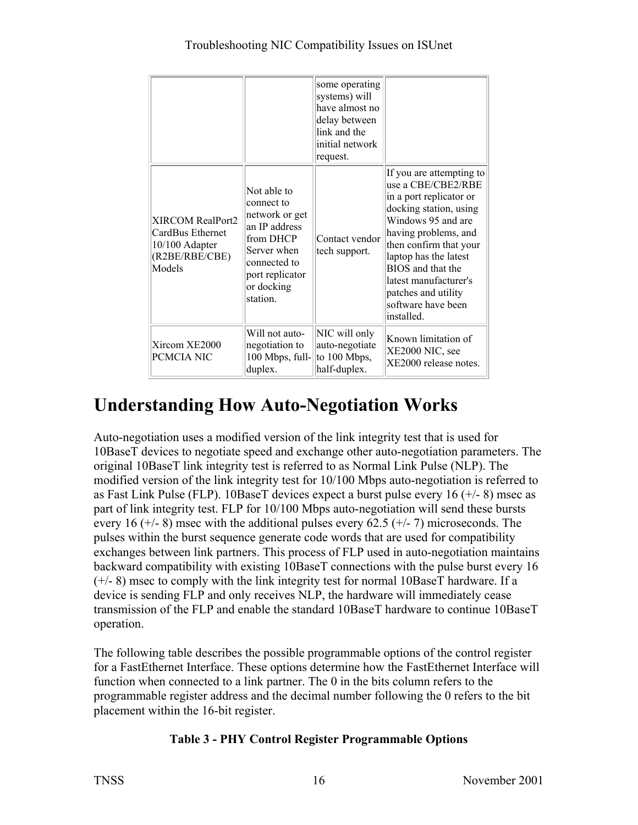|                                                                                    |                                                                                                                                                       | some operating<br>systems) will<br>have almost no<br>delay between<br>link and the<br>initial network<br>request. |                                                                                                                                                                                                                                                                                                               |
|------------------------------------------------------------------------------------|-------------------------------------------------------------------------------------------------------------------------------------------------------|-------------------------------------------------------------------------------------------------------------------|---------------------------------------------------------------------------------------------------------------------------------------------------------------------------------------------------------------------------------------------------------------------------------------------------------------|
| XIRCOM RealPort2<br>CardBus Ethernet<br>10/100 Adapter<br>(R2BE/RBE/CBE)<br>Models | Not able to<br>connect to<br>network or get<br>an IP address<br>from DHCP<br>Server when<br>connected to<br>port replicator<br>or docking<br>station. | Contact vendor<br>tech support.                                                                                   | If you are attempting to<br>use a CBE/CBE2/RBE<br>in a port replicator or<br>docking station, using<br>Windows 95 and are<br>having problems, and<br>then confirm that your<br>laptop has the latest<br>BIOS and that the<br>latest manufacturer's<br>patches and utility<br>software have been<br>installed. |
| Xircom XE2000<br>PCMCIA NIC                                                        | Will not auto-<br>negotiation to<br>100 Mbps, full-<br>duplex.                                                                                        | NIC will only<br>auto-negotiate<br>to 100 Mbps,<br>half-duplex.                                                   | Known limitation of<br>XE2000 NIC, see<br>XE2000 release notes.                                                                                                                                                                                                                                               |

# **Understanding How Auto-Negotiation Works**

Auto-negotiation uses a modified version of the link integrity test that is used for 10BaseT devices to negotiate speed and exchange other auto-negotiation parameters. The original 10BaseT link integrity test is referred to as Normal Link Pulse (NLP). The modified version of the link integrity test for 10/100 Mbps auto-negotiation is referred to as Fast Link Pulse (FLP). 10BaseT devices expect a burst pulse every 16  $(+/- 8)$  msec as part of link integrity test. FLP for 10/100 Mbps auto-negotiation will send these bursts every 16 ( $+/-$  8) msec with the additional pulses every 62.5 ( $+/-$  7) microseconds. The pulses within the burst sequence generate code words that are used for compatibility exchanges between link partners. This process of FLP used in auto-negotiation maintains backward compatibility with existing 10BaseT connections with the pulse burst every 16 (+/- 8) msec to comply with the link integrity test for normal 10BaseT hardware. If a device is sending FLP and only receives NLP, the hardware will immediately cease transmission of the FLP and enable the standard 10BaseT hardware to continue 10BaseT operation.

The following table describes the possible programmable options of the control register for a FastEthernet Interface. These options determine how the FastEthernet Interface will function when connected to a link partner. The 0 in the bits column refers to the programmable register address and the decimal number following the 0 refers to the bit placement within the 16-bit register.

#### **Table 3 - PHY Control Register Programmable Options**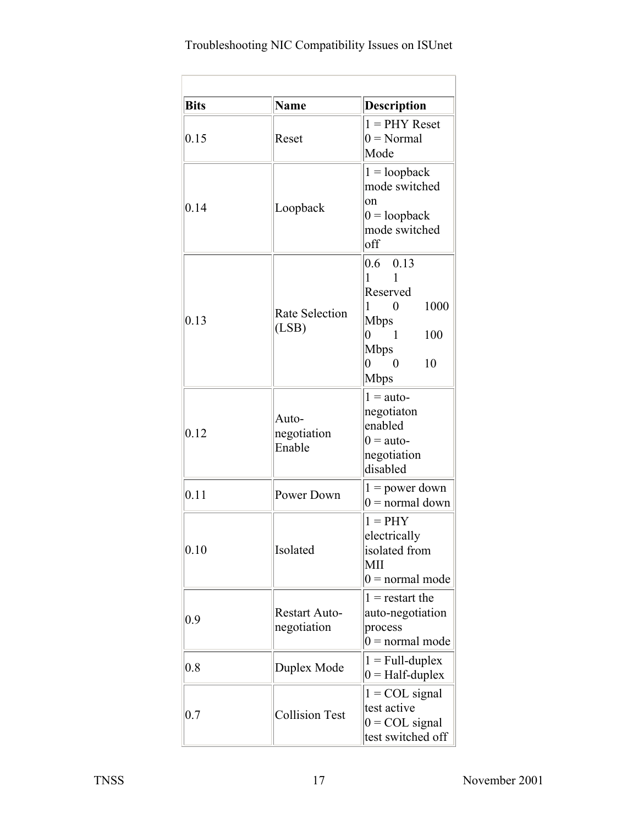| <b>Bits</b> | <b>Name</b>                         | Description                                                                                                                                                                   |
|-------------|-------------------------------------|-------------------------------------------------------------------------------------------------------------------------------------------------------------------------------|
| 0.15        | Reset                               | $1 =$ PHY Reset<br>$0 = Normal$<br>Mode                                                                                                                                       |
| 0.14        | Loopback                            | $1 = loopback$<br>mode switched<br>on<br>$0 =$ loopback<br>mode switched<br>off                                                                                               |
| 0.13        | <b>Rate Selection</b><br>(LSB)      | $0.6$ 0.13<br>1<br>Reserved<br>1000<br>$1 \quad 0$<br><b>Mbps</b><br>100<br>$\overline{0}$<br>$\overline{1}$<br><b>Mbps</b><br>10<br>$\overline{0}$<br>$\overline{0}$<br>Mbps |
| 0.12        | Auto-<br>negotiation<br>Enable      | $1 = \text{auto}$<br>negotiaton<br>enabled<br>$0 =$ auto-<br>negotiation<br>disabled                                                                                          |
| 0.11        | Power Down                          | $1 = power down$<br>$0 = normal down$                                                                                                                                         |
| 0.10        | Isolated                            | $1 = PHY$<br>electrically<br>isolated from<br><b>MII</b><br>$0 =$ normal mode                                                                                                 |
| 0.9         | <b>Restart Auto-</b><br>negotiation | $1 =$ restart the<br>auto-negotiation<br>process<br>$0 =$ normal mode                                                                                                         |
| 0.8         | Duplex Mode                         | $1 = Full-duplex$<br>$0 = \text{Half-duplex}$                                                                                                                                 |
| 0.7         | <b>Collision Test</b>               | $1 = COL$ signal<br>test active<br>$0 = COL$ signal<br>test switched off                                                                                                      |